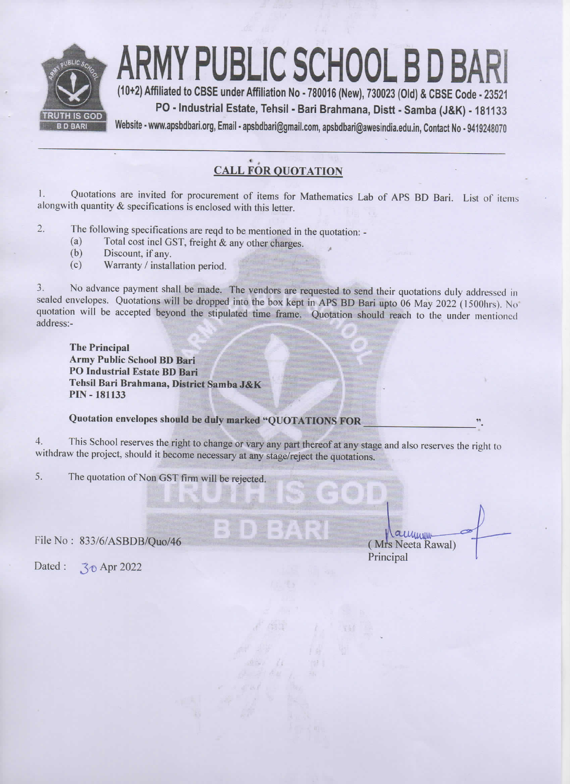

## RMY PUBLIC SCHOOL B D BA

(10+2) Affiliated to CBSE under Affiliation No - 780016 (New), 730023 (Old) & CBSE Code - 23521 PO - Industrial Estate, Tehsil - Bari Brahmana, Distt - Samba (J&K) - 181133

Website - www.apsbdbari.org, Email - apsbdbari@gmail.com, apsbdbari@awesindia.edu.in, Contact No - 9419248070

## **CALL FOR OUOTATION**

Quotations are invited for procurement of items for Mathematics Lab of APS BD Bari. List of items 1. alongwith quantity & specifications is enclosed with this letter.

- $2.$ The following specifications are reqd to be mentioned in the quotation: -
	- Total cost incl GST, freight & any other charges.  $(a)$
	- $(b)$ Discount, if any.
	- Warranty / installation period.  $(c)$

No advance payment shall be made. The vendors are requested to send their quotations duly addressed in  $3.$ sealed envelopes. Quotations will be dropped into the box kept in APS BD Bari upto 06 May 2022 (1500hrs). No quotation will be accepted beyond the stipulated time frame. Quotation should reach to the under mentioned address:-

**The Principal Army Public School BD Bari PO Industrial Estate BD Bari** Tehsil Bari Brahmana, District Samba J&K **PIN - 181133** 

## Quotation envelopes should be duly marked "QUOTATIONS FOR

This School reserves the right to change or vary any part thereof at any stage and also reserves the right to 4. withdraw the project, should it become necessary at any stage/reject the quotations.

The quotation of Non GST firm will be rejected.  $5<sub>1</sub>$ 

File No: 833/6/ASBDB/Ouo/46

Laumum (Mrs Neeta Rawal) Principal

Dated: 30 Apr 2022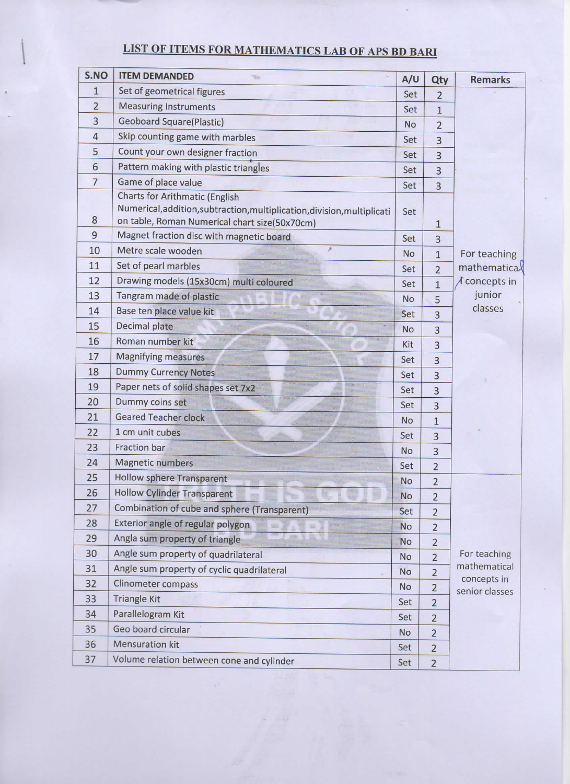## LIST OF ITEMS FOR MATHEMATICS LAB OF APS BD BARI

| S.NO           | <b>ITEM DEMANDED</b>                                                                      | A/U       | Qty            | <b>Remarks</b>                  |
|----------------|-------------------------------------------------------------------------------------------|-----------|----------------|---------------------------------|
| $\mathbf{1}$   | Set of geometrical figures                                                                | Set       | $\overline{2}$ |                                 |
| $\overline{2}$ | <b>Measuring Instruments</b>                                                              | Set       | $\mathbf{1}$   |                                 |
| 3              | <b>Geoboard Square(Plastic)</b>                                                           | No        | $\overline{2}$ |                                 |
| $\overline{4}$ | Skip counting game with marbles                                                           | Set       | 3              |                                 |
| 5              | Count your own designer fraction                                                          | Set       | 3              |                                 |
| 6              | Pattern making with plastic triangles                                                     | Set       | 3              |                                 |
| $\overline{7}$ | Game of place value                                                                       | Set       | 3              |                                 |
|                | <b>Charts for Arithmatic (English</b>                                                     |           |                |                                 |
| 8              | Numerical, addition, subtraction, multiplication, division, multiplicati                  | Set       |                |                                 |
| 9              | on table, Roman Numerical chart size(50x70cm)<br>Magnet fraction disc with magnetic board |           | 1              |                                 |
| 10             | Metre scale wooden                                                                        | Set       | 3              |                                 |
| 11             | Set of pearl marbles                                                                      | <b>No</b> | $\mathbf{1}$   | For teaching                    |
| 12             |                                                                                           | Set       | $\overline{2}$ | mathematical                    |
| 13             | Drawing models (15x30cm) multi coloured                                                   | Set       | $\mathbf{1}$   | $\Lambda$ concepts in<br>junior |
| 14             | Tangram made of plastic                                                                   | No.       | 5              | classes                         |
| 15             | Base ten place value kit                                                                  | Set       | 3              |                                 |
| 16             | Decimal plate<br>Roman number kit                                                         | No        | 3              |                                 |
|                |                                                                                           | Kit       | 3              |                                 |
| 17             | <b>Magnifying measures</b>                                                                | Set       | 3              |                                 |
| 18<br>19       | <b>Dummy Currency Notes</b>                                                               | Set       | 3              |                                 |
| 20             | Paper nets of solid shapes set 7x2                                                        | Set       | 3              |                                 |
|                | Dummy coins set<br><b>Geared Teacher clock</b>                                            | Set       | 3              |                                 |
| 21             |                                                                                           | No        | $\mathbf{1}$   |                                 |
| 22             | 1 cm unit cubes                                                                           | Set       | $\overline{3}$ |                                 |
| 23             | Fraction bar                                                                              | <b>No</b> | 3              |                                 |
| 24             | <b>Magnetic numbers</b>                                                                   | Set       | $\overline{2}$ |                                 |
| 25             | <b>Hollow sphere Transparent</b>                                                          | <b>No</b> | $\overline{2}$ |                                 |
| 26             | <b>Hollow Cylinder Transparent</b>                                                        | No        | $\overline{2}$ |                                 |
| 27             | Combination of cube and sphere (Transparent)                                              | Set       | $\overline{2}$ |                                 |
| 28             | Exterior angle of regular polygon                                                         | No        | $\overline{2}$ |                                 |
| 29             | Angla sum property of triangle                                                            | No        | $\overline{2}$ |                                 |
| 30             | Angle sum property of quadrilateral                                                       | No        | $\overline{2}$ | For teaching<br>mathematical    |
| 31             | Angle sum property of cyclic quadrilateral                                                | No        | $\overline{2}$ | concepts in                     |
| 32             | Clinometer compass                                                                        | No        | $\overline{2}$ | senior classes                  |
| 33             | <b>Triangle Kit</b>                                                                       | Set       | $\overline{2}$ |                                 |
| 34             | Parallelogram Kit                                                                         | Set       | $\overline{2}$ |                                 |
| 35             | Geo board circular                                                                        | <b>No</b> | $\overline{2}$ |                                 |
| 36             | Mensuration kit                                                                           | Set       | $\overline{2}$ |                                 |
| 37             | Volume relation between cone and cylinder                                                 | Set       | $\overline{2}$ |                                 |